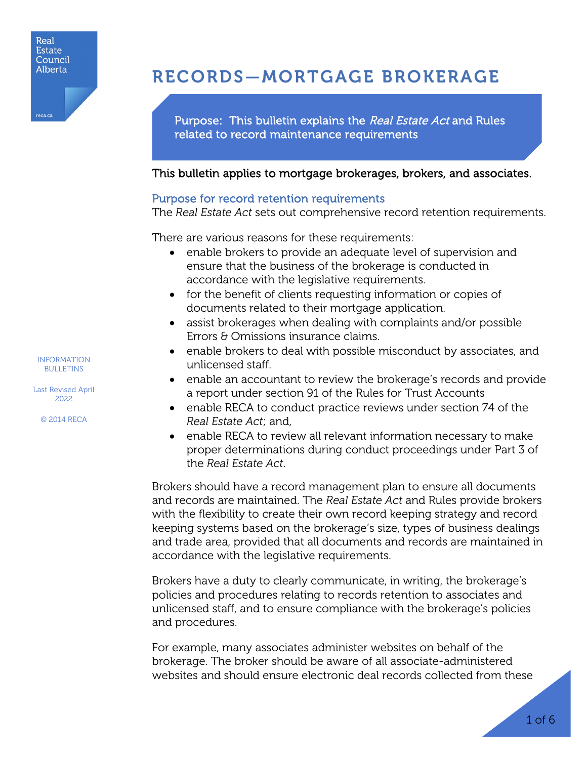

# RECORDS—MORTGAGE BROKERAGE

Purpose: This bulletin explains the Real Estate Act and Rules related to record maintenance requirements

# This bulletin applies to mortgage brokerages, brokers, and associates.

### Purpose for record retention requirements

The *Real Estate Act* sets out comprehensive record retention requirements.

There are various reasons for these requirements:

- enable brokers to provide an adequate level of supervision and ensure that the business of the brokerage is conducted in accordance with the legislative requirements.
- for the benefit of clients requesting information or copies of documents related to their mortgage application.
- assist brokerages when dealing with complaints and/or possible Errors & Omissions insurance claims.
- enable brokers to deal with possible misconduct by associates, and unlicensed staff.
- enable an accountant to review the brokerage's records and provide a report under section 91 of the Rules for Trust Accounts
- enable RECA to conduct practice reviews under section 74 of the *Real Estate Act*; and,
- enable RECA to review all relevant information necessary to make proper determinations during conduct proceedings under Part 3 of the *Real Estate Act*.

Brokers should have a record management plan to ensure all documents and records are maintained. The *Real Estate Act* and Rules provide brokers with the flexibility to create their own record keeping strategy and record keeping systems based on the brokerage's size, types of business dealings and trade area, provided that all documents and records are maintained in accordance with the legislative requirements.

Brokers have a duty to clearly communicate, in writing, the brokerage's policies and procedures relating to records retention to associates and unlicensed staff, and to ensure compliance with the brokerage's policies and procedures.

For example, many associates administer websites on behalf of the brokerage. The broker should be aware of all associate-administered websites and should ensure electronic deal records collected from these

INFORMATION BULLETINS

Last Revised April 2022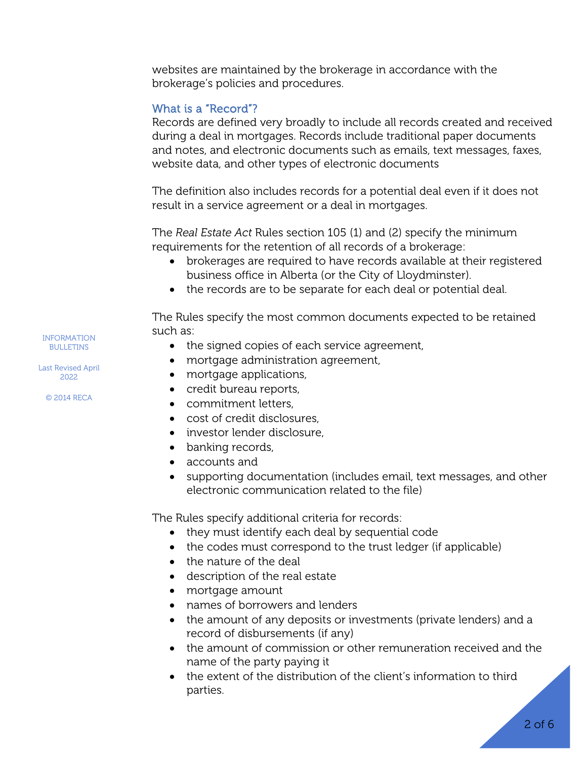websites are maintained by the brokerage in accordance with the brokerage's policies and procedures.

# What is a "Record"?

Records are defined very broadly to include all records created and received during a deal in mortgages. Records include traditional paper documents and notes, and electronic documents such as emails, text messages, faxes, website data, and other types of electronic documents

The definition also includes records for a potential deal even if it does not result in a service agreement or a deal in mortgages.

The *Real Estate Act* Rules section 105 (1) and (2) specify the minimum requirements for the retention of all records of a brokerage:

- brokerages are required to have records available at their registered business office in Alberta (or the City of Lloydminster).
- the records are to be separate for each deal or potential deal.

The Rules specify the most common documents expected to be retained such as:

- the signed copies of each service agreement,
- mortgage administration agreement,
- mortgage applications,
- credit bureau reports,
- commitment letters,
- cost of credit disclosures
- investor lender disclosure,
- banking records,
- accounts and
- supporting documentation (includes email, text messages, and other electronic communication related to the file)

The Rules specify additional criteria for records:

- they must identify each deal by sequential code
- the codes must correspond to the trust ledger (if applicable)
- the nature of the deal
- description of the real estate
- mortgage amount
- names of borrowers and lenders
- the amount of any deposits or investments (private lenders) and a record of disbursements (if any)
- the amount of commission or other remuneration received and the name of the party paying it
- the extent of the distribution of the client's information to third parties.

INFORMATION BULLETINS

Last Revised April 2022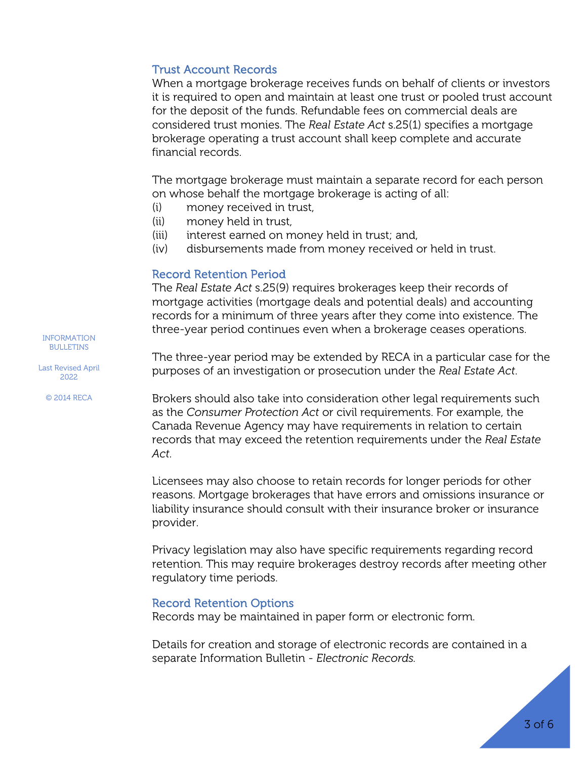# Trust Account Records

When a mortgage brokerage receives funds on behalf of clients or investors it is required to open and maintain at least one trust or pooled trust account for the deposit of the funds. Refundable fees on commercial deals are considered trust monies. The *Real Estate Act* s.25(1) specifies a mortgage brokerage operating a trust account shall keep complete and accurate financial records.

The mortgage brokerage must maintain a separate record for each person on whose behalf the mortgage brokerage is acting of all:

- (i) money received in trust,
- (ii) money held in trust,
- (iii) interest earned on money held in trust; and,
- (iv) disbursements made from money received or held in trust.

### Record Retention Period

The *Real Estate Act* s.25(9) requires brokerages keep their records of mortgage activities (mortgage deals and potential deals) and accounting records for a minimum of three years after they come into existence. The three-year period continues even when a brokerage ceases operations.

The three-year period may be extended by RECA in a particular case for the purposes of an investigation or prosecution under the *Real Estate Act*.

Brokers should also take into consideration other legal requirements such as the *Consumer Protection Act* or civil requirements. For example, the Canada Revenue Agency may have requirements in relation to certain records that may exceed the retention requirements under the *Real Estate Act*.

Licensees may also choose to retain records for longer periods for other reasons. Mortgage brokerages that have errors and omissions insurance or liability insurance should consult with their insurance broker or insurance provider.

Privacy legislation may also have specific requirements regarding record retention. This may require brokerages destroy records after meeting other regulatory time periods.

#### Record Retention Options

Records may be maintained in paper form or electronic form.

Details for creation and storage of electronic records are contained in a separate Information Bulletin - *Electronic Records.*

INFORMATION BULLETINS

Last Revised April 2022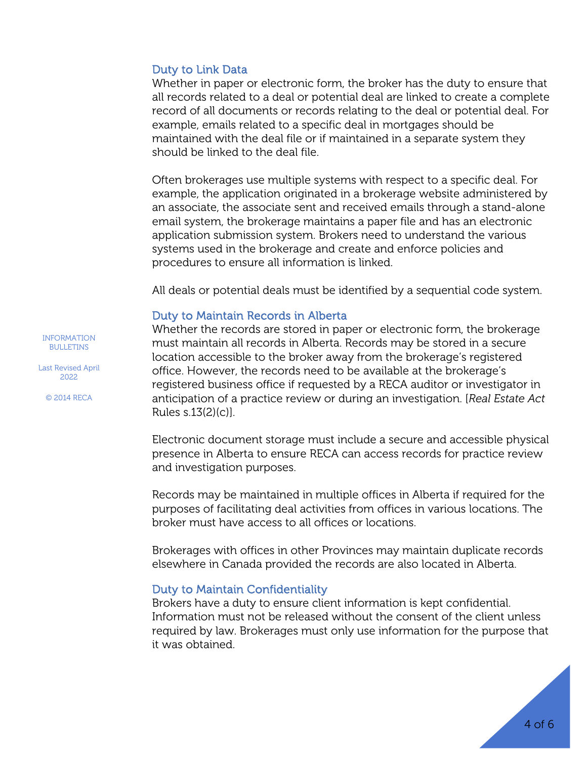#### Duty to Link Data

Whether in paper or electronic form, the broker has the duty to ensure that all records related to a deal or potential deal are linked to create a complete record of all documents or records relating to the deal or potential deal. For example, emails related to a specific deal in mortgages should be maintained with the deal file or if maintained in a separate system they should be linked to the deal file.

Often brokerages use multiple systems with respect to a specific deal. For example, the application originated in a brokerage website administered by an associate, the associate sent and received emails through a stand-alone email system, the brokerage maintains a paper file and has an electronic application submission system. Brokers need to understand the various systems used in the brokerage and create and enforce policies and procedures to ensure all information is linked.

All deals or potential deals must be identified by a sequential code system.

#### Duty to Maintain Records in Alberta

Whether the records are stored in paper or electronic form, the brokerage must maintain all records in Alberta. Records may be stored in a secure location accessible to the broker away from the brokerage's registered office. However, the records need to be available at the brokerage's registered business office if requested by a RECA auditor or investigator in anticipation of a practice review or during an investigation. [*Real Estate Act*  Rules s.13(2)(c)].

Electronic document storage must include a secure and accessible physical presence in Alberta to ensure RECA can access records for practice review and investigation purposes.

Records may be maintained in multiple offices in Alberta if required for the purposes of facilitating deal activities from offices in various locations. The broker must have access to all offices or locations.

Brokerages with offices in other Provinces may maintain duplicate records elsewhere in Canada provided the records are also located in Alberta.

#### Duty to Maintain Confidentiality

Brokers have a duty to ensure client information is kept confidential. Information must not be released without the consent of the client unless required by law. Brokerages must only use information for the purpose that it was obtained.

INFORMATION BULLETINS

Last Revised April 2022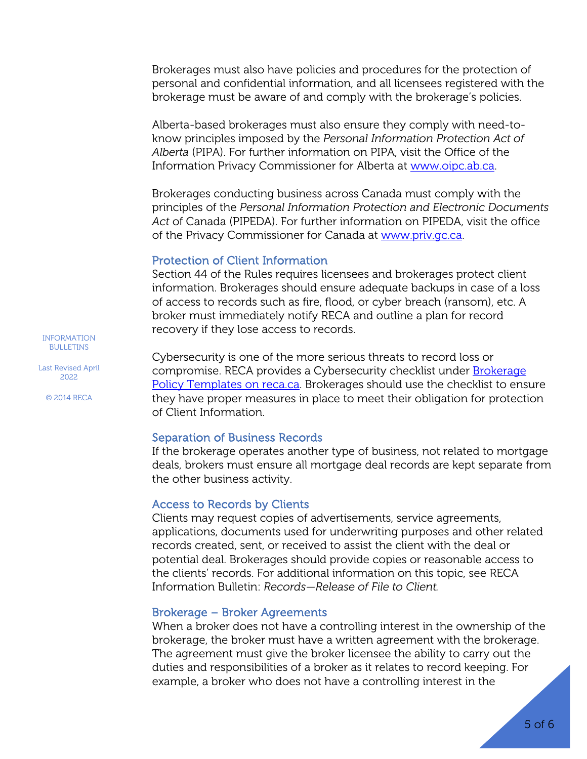Brokerages must also have policies and procedures for the protection of personal and confidential information, and all licensees registered with the brokerage must be aware of and comply with the brokerage's policies.

Alberta-based brokerages must also ensure they comply with need-toknow principles imposed by the *Personal Information Protection Act of Alberta* (PIPA). For further information on PIPA, visit the Office of the Information Privacy Commissioner for Alberta at [www.oipc.ab.ca.](http://www.oipc.ab.ca/)

Brokerages conducting business across Canada must comply with the principles of the *Personal Information Protection and Electronic Documents Act* of Canada (PIPEDA). For further information on PIPEDA, visit the office of the Privacy Commissioner for Canada at [www.priv.gc.ca.](http://www.priv.gc.ca/)

#### Protection of Client Information

Section 44 of the Rules requires licensees and brokerages protect client information. Brokerages should ensure adequate backups in case of a loss of access to records such as fire, flood, or cyber breach (ransom), etc. A broker must immediately notify RECA and outline a plan for record recovery if they lose access to records.

Cybersecurity is one of the more serious threats to record loss or compromise. RECA provides a Cybersecurity checklist under [Brokerage](https://www.reca.ca/licensees-learners/tools-resources/guides-checklists/#policy-templates)  [Policy Templates on reca.ca.](https://www.reca.ca/licensees-learners/tools-resources/guides-checklists/#policy-templates) Brokerages should use the checklist to ensure they have proper measures in place to meet their obligation for protection of Client Information.

#### Separation of Business Records

If the brokerage operates another type of business, not related to mortgage deals, brokers must ensure all mortgage deal records are kept separate from the other business activity.

#### Access to Records by Clients

Clients may request copies of advertisements, service agreements, applications, documents used for underwriting purposes and other related records created, sent, or received to assist the client with the deal or potential deal. Brokerages should provide copies or reasonable access to the clients' records. For additional information on this topic, see RECA Information Bulletin: *Records—Release of File to Client.*

#### Brokerage – Broker Agreements

When a broker does not have a controlling interest in the ownership of the brokerage, the broker must have a written agreement with the brokerage. The agreement must give the broker licensee the ability to carry out the duties and responsibilities of a broker as it relates to record keeping. For example, a broker who does not have a controlling interest in the

INFORMATION BULLETINS

Last Revised April 2022